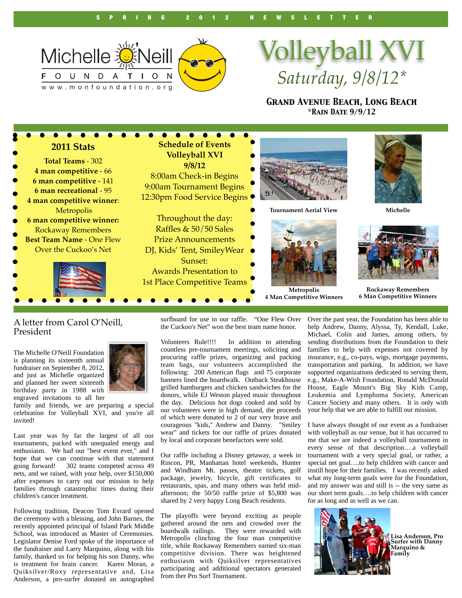

# Volleyball XVI *Saturday, 9/8/12\**

*Grand Avenue Beach, Long Beach \*Rain Date 9/9/12*



#### A letter from Carol O'Neill, President

The Michelle O'Neill Foundation is planning its sixteenth annual fundraiser on September 8, 2012, and just as Michelle organized and planned her sweet sixteenth birthday party in 1988 with engraved invitations to all her



family and friends, we are preparing a special celebration for Volleyball XVI, and you're all invited!

Last year was by far the largest of all our tournaments, packed with unequaled energy and enthusiasm. We had our "best event ever," and I hope that we can continue with that statement going forward! 302 teams competed across 49 nets, and we raised, with your help, over \$150,000 after expenses to carry out our mission to help families through catastrophic times during their children's cancer treatment.

Following tradition, Deacon Tom Evrard opened the ceremony with a blessing, and John Barnes, the recently appointed principal of Island Park Middle School, was introduced as Master of Ceremonies. Legislator Denise Ford spoke of the importance of the fundraiser and Larry Marquino, along with his family, thanked us for helping his son Danny, who is treatment for brain cancer. Karen Moran, a Quiksilver/Roxy representative and, Lisa Anderson, a pro-surfer donated an autographed

surfboard for use in our raffle. "One Flew Over the Cuckoo's Net" won the best team name honor.

Volunteers Rule!!!! In addition to attending countless pre-tournament meetings, soliciting and procuring raffle prizes, organizing and packing team bags, our volunteers accomplished the following: 200 American flags and 75 corporate banners lined the boardwalk. Outback Steakhouse grilled hamburgers and chicken sandwiches for the donors, while EJ Weston played music throughout the day. Delicious hot dogs cooked and sold by our volunteers were in high demand, the proceeds of which were donated to 2 of our very brave and courageous "kids," Andrew and Danny. "Smiley wear" and tickets for our raffle of prizes donated by local and corporate benefactors were sold.

Our raffle including a Disney getaway, a week in Rincon, PR, Manhattan hotel weekends, Hunter and Windham Mt. passes, theatre tickets, golf package, jewelry, bicycle, gift certificates to restaurants, spas, and many others was held midafternoon; the 50/50 raffle prize of \$5,800 was shared by 2 very happy Long Beach residents.

The playoffs were beyond exciting as people gathered around the nets and crowded over the boardwalk railings. They were rewarded with Metropolis clinching the four man competitive title, while Rockaway Remembers earned six-man competitive division. There was heightened enthusiasm with Quiksilver representatives participating and additional spectators generated from ther Pro Surf Tournament.

Over the past year, the Foundation has been able to help Andrew, Danny, Alyssa, Ty, Kendall, Luke, Michael, Colin and James, among others, by sending distributions from the Foundation to their families to help with expenses not covered by insurance, e.g., co-pays, wigs, mortgage payments, transportation and parking. In addition, we have supported organizations dedicated to serving them, e.g., Make-A-Wish Foundation, Ronald McDonald House, Eagle Mount's Big Sky Kids Camp, Leukemia and Lymphoma Society, American Cancer Society and many others. It is only with your help that we are able to fulfill our mission.

I have always thought of our event as a fundraiser with volleyball as our venue, but it has occurred to me that we are indeed a volleyball tournament in every sense of that description….a volleyball tournament with a very special goal, or rather, a special net goal….to help children with cancer and instill hope for their families. I was recently asked what my long-term goals were for the Foundation, and my answer was and still is -- the very same as our short term goals….to help children with cancer for as long and as well as we can.



**Lisa Anderson, Pro Surfer with Danny Marquino & Family**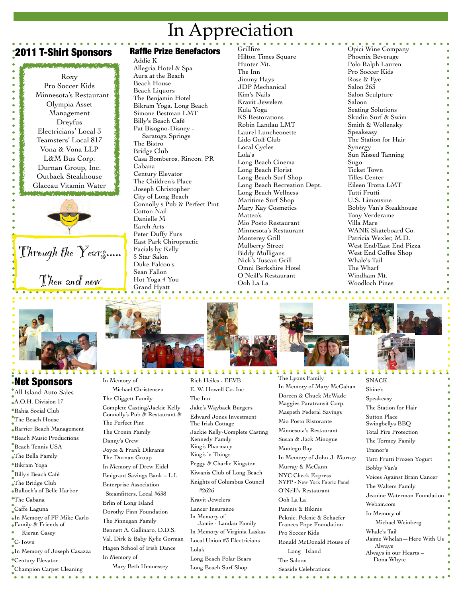### In Appreciation

### **2011 T-Shirt Sponsors Raffle Prize Benefactors**

Roxy Pro Soccer Kids Minnesota's Restaurant Olympia Asset Management Dreyfus Electricians' Local 3 Teamsters' Local 817 Vona & Vona LLP L&M Bus Corp. Durnan Group, Inc. Outback Steakhouse Glaceau Vitamin Water



# Through the Years..... Then and now

Addie K Allegria Hotel & Spa Aura at the Beach Beach House Beach Liquors The Benjamin Hotel Bikram Yoga, Long Beach Simone Bestman LMT Billy's Beach Café Pat Bisogno-Disney - Saratoga Springs The Bistro Bridge Club Casa Bomberos, Rincon, PR Cabana Century Elevator The Children's Place Joseph Christopher City of Long Beach Connolly's Pub & Perfect Pint Cotton Nail Danielle M Earch Arts Peter Duffy Furs East Park Chiropractic Facials by Kelly 5 Star Salon Duke Falcon's Sean Fallon Hot Yoga 4 You Grand Hyatt

**Grillfire** Hilton Times Square Hunter Mt. The Inn Jimmy Hays JDP Mechanical Kim's Nails Kravit Jewelers Kula Yoga KS Restorations Robin Landau LMT Laurel Luncheonette Lido Golf Club Local Cycles Lola's Long Beach Cinema Long Beach Florist Long Beach Surf Shop Long Beach Recreation Dept. Long Beach Wellness Maritime Surf Shop Mary Kay Cosmetics Matteo's Mio Posto Restaurant Minnesota's Restaurant Monterey Grill Mulberry Street Biddy Mulligans Nick's Tuscan Grill Omni Berkshire Hotel O'Neill's Restaurant Ooh La La

Opici Wine Company Phoenix Beverage Polo Ralph Lauren Pro Soccer Kids Rose & Eye Salon 263 Salon Sculpture Saloon Seating Solutions Skudin Surf & Swim Smith & Wollensky Speakeasy The Station for Hair Synergy Sun Kissed Tanning Sugo Ticket Town Tilles Center Eileen Trotta LMT Tutti Frutti U.S. Limousine Bobby Van's Steakhouse Tony Verderame Villa Mare WANK Skateboard Co. Patricia Wexler, M.D. West End/East End Pizza West End Coffee Shop Whale's Tail The Wharf Windham Mt. Woodloch Pines



#### Net Sponsors All Island Auto Sales A.O.H. Division 17

Bahia Social Club The Beach House Barrier Beach Management Beach Music Productions Beach Tennis USA The Bella Family Bikram Yoga Billy's Beach Café The Bridge Club Bulloch's of Belle Harbor The Cabana Caffe Laguna In Memory of FF Mike Carlo Family & Friends of Kieran Casey C-Town In Memory of Joseph Casazza Century Elevator

Champion Carpet Cleaning



In Memory of Michael Christensen The Cliggett Family Complete Casting/Jackie Kelly Connolly's Pub & Restaurant & The Perfect Pint The Cronin Family Danny's Crew Joyce & Frank Dikranis The Durnan Group In Memory of Drew Eidel Emigrant Savings Bank – L.I. Enterprise Association Steamfitters, Local #638 Erlin of Long Island Dorothy Finn Foundation The Finnegan Family Bennett A. Gallinaro, D.D.S. Val, Dirk & Baby Kylie Gorman Hagen School of Irish Dance In Memory of Mary Beth Hennessey

222  $\bullet$ **BEREES** Rich Heiles - EEVB E. W. Howell Co. Inc The Inn Jake's Wayback Burgers Edward Jones Investment The Irish Cottage Jackie Kelly-Complete Casting Kennedy Family King's Pharmacy King's 'n Things Peggy & Charlie Kingston Kiwanis Club of Long Beach Knights of Columbus Council #2626 Kravit Jewelers Lancer Insurance In Memory of Jamie - Landau Family In Memory of Virginia Laskas Local Union #3 Electricians Lola's Long Beach Polar Bears Long Beach Surf Shop

The Lyons Family In Memory of Mary McGahan Doreen & Chuck McWade Maggies Paratransit Corp. Maspeth Federal Savings Mio Posto Ristorante Minnesota's Restaurant Susan & Jack Minogue Montego Bay In Memory of John J. Murray Murray & McCann

NYC Check Express NYFP - New York Fabric Panel O'Neill's Restaurant

Ooh La La

Paninis & Bikinis Peknic, Peknic & Schaefer Frances Pope Foundation Pro Soccer Kids Ronald McDonald House of

 Long Island The Saloon Seaside Celebrations



**SNACK** Shine's Speakeasy The Station for Hair Sutton Place Swingbellys BBQ Total Fire Protection The Tormey Family Trainor's Tutti Frutti Frozen Yogurt Bobby Van's Voices Against Brain Cancer The Walters Family Jeanine Waterman Foundation Webair.com In Memory of Michael Weinberg Whale's Tail Jaime Whelan—Here With Us Always Always in our Hearts – Dona Whyte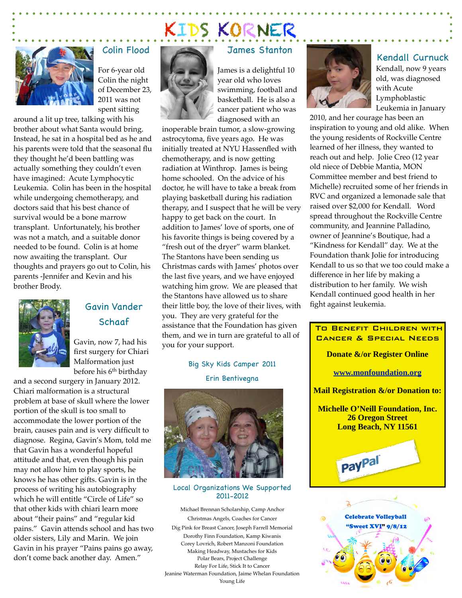

#### Colin Flood

For 6-year old Colin the night of December 23, 2011 was not spent sitting

around a lit up tree, talking with his brother about what Santa would bring. Instead, he sat in a hospital bed as he and his parents were told that the seasonal flu they thought he'd been battling was actually something they couldn't even have imagined: Acute Lymphocytic Leukemia. Colin has been in the hospital while undergoing chemotherapy, and doctors said that his best chance of survival would be a bone marrow transplant. Unfortunately, his brother was not a match, and a suitable donor needed to be found. Colin is at home now awaiting the transplant. Our thoughts and prayers go out to Colin, his parents -Jennifer and Kevin and his brother Brody.



#### Gavin Vander Schaaf

Gavin, now 7, had his first surgery for Chiari Malformation just before his 6th birthday

and a second surgery in January 2012. Chiari malformation is a structural problem at base of skull where the lower portion of the skull is too small to accommodate the lower portion of the brain, causes pain and is very difficult to diagnose. Regina, Gavin's Mom, told me that Gavin has a wonderful hopeful attitude and that, even though his pain may not allow him to play sports, he knows he has other gifts. Gavin is in the process of writing his autobiography which he will entitle "Circle of Life" so that other kids with chiari learn more about "their pains" and "regular kid pains." Gavin attends school and has two older sisters, Lily and Marin. We join Gavin in his prayer "Pains pains go away, don't come back another day. Amen."

#### James Stanton

KIDS KORNER



James is a delightful 10 year old who loves swimming, football and basketball. He is also a cancer patient who was diagnosed with an

inoperable brain tumor, a slow-growing astrocytoma, five years ago. He was initially treated at NYU Hassenfled with chemotherapy, and is now getting radiation at Winthrop. James is being home schooled. On the advice of his doctor, he will have to take a break from playing basketball during his radiation therapy, and I suspect that he will be very happy to get back on the court. In addition to James' love of sports, one of his favorite things is being covered by a "fresh out of the dryer" warm blanket. The Stantons have been sending us Christmas cards with James' photos over the last five years, and we have enjoyed watching him grow. We are pleased that the Stantons have allowed us to share their little boy, the love of their lives, with you. They are very grateful for the assistance that the Foundation has given them, and we in turn are grateful to all of you for your support.

#### Big Sky Kids Camper 2011 Erin Bentivegna



#### Local Organizations We Supported 2011-2012

Michael Brennan Scholarship, Camp Anchor Christmas Angels, Coaches for Cancer Dig Pink for Breast Cancer, Joseph Farrell Memorial Dorothy Finn Foundation, Kamp Kiwanis Corey Lovrich, Robert Manzoni Foundation Making Headway, Mustaches for Kids Polar Bears, Project Challenge Relay For Life, Stick It to Cancer Jeanine Waterman Foundation, Jaime Whelan Foundation Young Life



#### Kendall Curnuck

Kendall, now 9 years old, was diagnosed with Acute Lymphoblastic Leukemia in January

2010, and her courage has been an inspiration to young and old alike. When the young residents of Rockville Centre learned of her illness, they wanted to reach out and help. Jolie Creo (12 year old niece of Debbie Mantia, MON Committee member and best friend to Michelle) recruited some of her friends in RVC and organized a lemonade sale that raised over \$2,000 for Kendall. Word spread throughout the Rockville Centre community, and Jeannine Palladino, owner of Jeannine's Boutique, had a "Kindness for Kendall" day. We at the Foundation thank Jolie for introducing Kendall to us so that we too could make a difference in her life by making a distribution to her family. We wish Kendall continued good health in her fight against leukemia.

## To Benefit Children with Cancer & Special Needs **Donate &/or Register Online [www.monfoundation.org](http://www.monfoundation.org) Mail Registration &/or Donation to: Michelle O'Neill Foundation, Inc. 26 Oregon Street Long Beach, NY 11561** PayPal